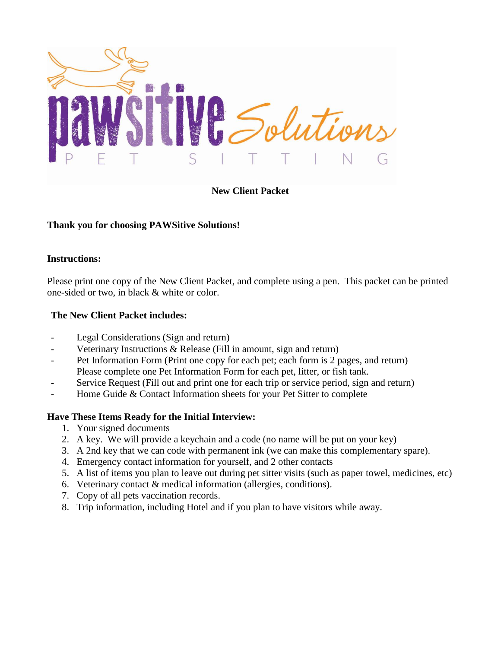

**New Client Packet**

# **Thank you for choosing PAWSitive Solutions!**

## **Instructions:**

Please print one copy of the New Client Packet, and complete using a pen. This packet can be printed one-sided or two, in black & white or color.

# **The New Client Packet includes:**

- Legal Considerations (Sign and return)
- Veterinary Instructions & Release (Fill in amount, sign and return)
- Pet Information Form (Print one copy for each pet; each form is 2 pages, and return) Please complete one Pet Information Form for each pet, litter, or fish tank.
- Service Request (Fill out and print one for each trip or service period, sign and return)
- Home Guide & Contact Information sheets for your Pet Sitter to complete

# **Have These Items Ready for the Initial Interview:**

- 1. Your signed documents
- 2. A key. We will provide a keychain and a code (no name will be put on your key)
- 3. A 2nd key that we can code with permanent ink (we can make this complementary spare).
- 4. Emergency contact information for yourself, and 2 other contacts
- 5. A list of items you plan to leave out during pet sitter visits (such as paper towel, medicines, etc)
- 6. Veterinary contact & medical information (allergies, conditions).
- 7. Copy of all pets vaccination records.
- 8. Trip information, including Hotel and if you plan to have visitors while away.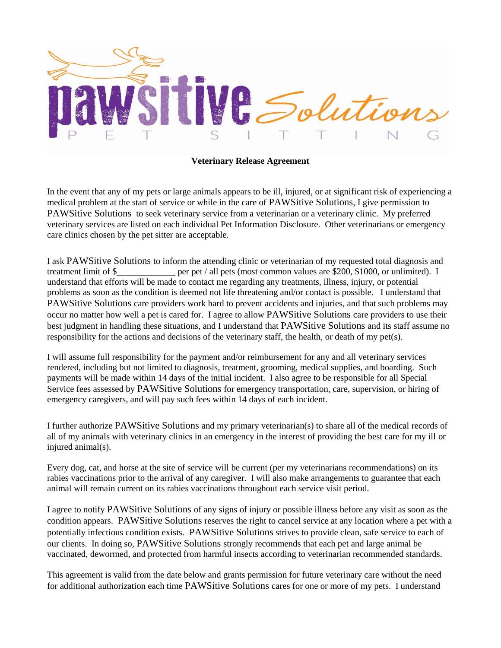

**Veterinary Release Agreement**

In the event that any of my pets or large animals appears to be ill, injured, or at significant risk of experiencing a medical problem at the start of service or while in the care of PAWSitive Solutions, I give permission to PAWSitive Solutions to seek veterinary service from a veterinarian or a veterinary clinic. My preferred veterinary services are listed on each individual Pet Information Disclosure. Other veterinarians or emergency care clinics chosen by the pet sitter are acceptable.

I ask PAWSitive Solutions to inform the attending clinic or veterinarian of my requested total diagnosis and treatment limit of \$ per pet / all pets (most common values are \$200, \$1000, or unlimited). I understand that efforts will be made to contact me regarding any treatments, illness, injury, or potential problems as soon as the condition is deemed not life threatening and/or contact is possible. I understand that PAWSitive Solutions care providers work hard to prevent accidents and injuries, and that such problems may occur no matter how well a pet is cared for. I agree to allow PAWSitive Solutions care providers to use their best judgment in handling these situations, and I understand that PAWSitive Solutions and its staff assume no responsibility for the actions and decisions of the veterinary staff, the health, or death of my pet(s).

I will assume full responsibility for the payment and/or reimbursement for any and all veterinary services rendered, including but not limited to diagnosis, treatment, grooming, medical supplies, and boarding. Such payments will be made within 14 days of the initial incident. I also agree to be responsible for all Special Service fees assessed by PAWSitive Solutions for emergency transportation, care, supervision, or hiring of emergency caregivers, and will pay such fees within 14 days of each incident.

I further authorize PAWSitive Solutions and my primary veterinarian(s) to share all of the medical records of all of my animals with veterinary clinics in an emergency in the interest of providing the best care for my ill or injured animal(s).

Every dog, cat, and horse at the site of service will be current (per my veterinarians recommendations) on its rabies vaccinations prior to the arrival of any caregiver. I will also make arrangements to guarantee that each animal will remain current on its rabies vaccinations throughout each service visit period.

I agree to notify PAWSitive Solutions of any signs of injury or possible illness before any visit as soon as the condition appears. PAWSitive Solutions reserves the right to cancel service at any location where a pet with a potentially infectious condition exists. PAWSitive Solutions strives to provide clean, safe service to each of our clients. In doing so, PAWSitive Solutions strongly recommends that each pet and large animal be vaccinated, dewormed, and protected from harmful insects according to veterinarian recommended standards.

This agreement is valid from the date below and grants permission for future veterinary care without the need for additional authorization each time PAWSitive Solutions cares for one or more of my pets. I understand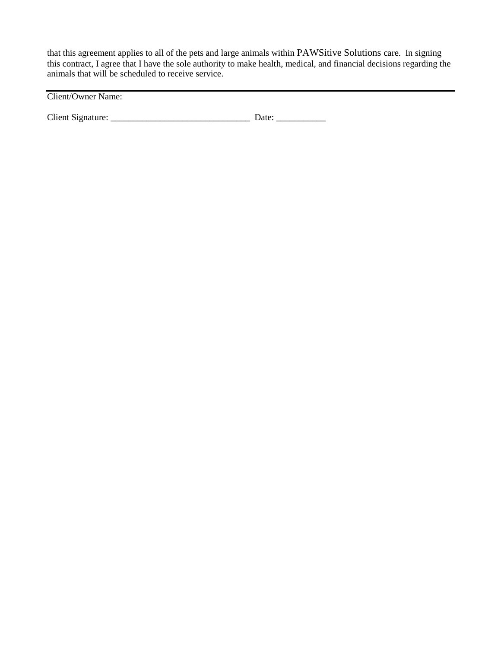that this agreement applies to all of the pets and large animals within PAWSitive Solutions care. In signing this contract, I agree that I have the sole authority to make health, medical, and financial decisions regarding the animals that will be scheduled to receive service.

Client/Owner Name:

Client Signature: \_\_\_\_\_\_\_\_\_\_\_\_\_\_\_\_\_\_\_\_\_\_\_\_\_\_\_\_\_\_\_ Date: \_\_\_\_\_\_\_\_\_\_\_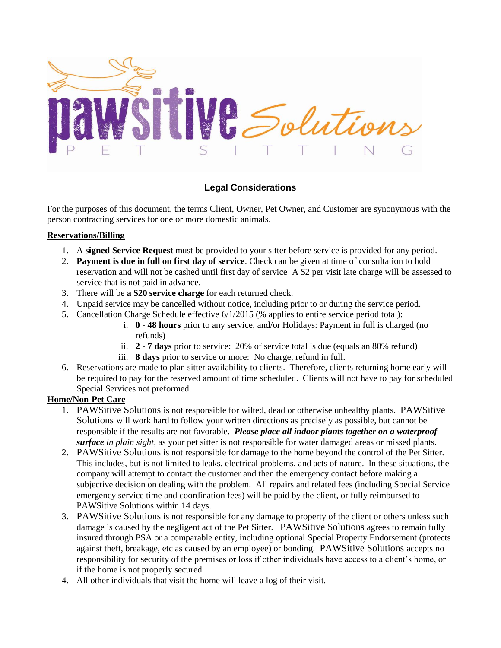

# **Legal Considerations**

For the purposes of this document, the terms Client, Owner, Pet Owner, and Customer are synonymous with the person contracting services for one or more domestic animals.

### **Reservations/Billing**

- 1. A **signed Service Request** must be provided to your sitter before service is provided for any period.
- 2. **Payment is due in full on first day of service**. Check can be given at time of consultation to hold reservation and will not be cashed until first day of service A \$2 per visit late charge will be assessed to service that is not paid in advance.
- 3. There will be **a \$20 service charge** for each returned check.
- 4. Unpaid service may be cancelled without notice, including prior to or during the service period.
- 5. Cancellation Charge Schedule effective 6/1/2015 (% applies to entire service period total):
	- i. **0 - 48 hours** prior to any service, and/or Holidays: Payment in full is charged (no refunds)
	- ii. **2 - 7 days** prior to service: 20% of service total is due (equals an 80% refund)
	- iii. **8 days** prior to service or more: No charge, refund in full.
- 6. Reservations are made to plan sitter availability to clients. Therefore, clients returning home early will be required to pay for the reserved amount of time scheduled. Clients will not have to pay for scheduled Special Services not preformed.

### **Home/Non-Pet Care**

- 1. PAWSitive Solutions is not responsible for wilted, dead or otherwise unhealthy plants. PAWSitive Solutions will work hard to follow your written directions as precisely as possible, but cannot be responsible if the results are not favorable. *Please place all indoor plants together on a waterproof surface in plain sight*, as your pet sitter is not responsible for water damaged areas or missed plants.
- 2. PAWSitive Solutions is not responsible for damage to the home beyond the control of the Pet Sitter. This includes, but is not limited to leaks, electrical problems, and acts of nature. In these situations, the company will attempt to contact the customer and then the emergency contact before making a subjective decision on dealing with the problem. All repairs and related fees (including Special Service emergency service time and coordination fees) will be paid by the client, or fully reimbursed to PAWSitive Solutions within 14 days.
- 3. PAWSitive Solutions is not responsible for any damage to property of the client or others unless such damage is caused by the negligent act of the Pet Sitter. PAWSitive Solutions agrees to remain fully insured through PSA or a comparable entity, including optional Special Property Endorsement (protects against theft, breakage, etc as caused by an employee) or bonding. PAWSitive Solutions accepts no responsibility for security of the premises or loss if other individuals have access to a client's home, or if the home is not properly secured.
- 4. All other individuals that visit the home will leave a log of their visit.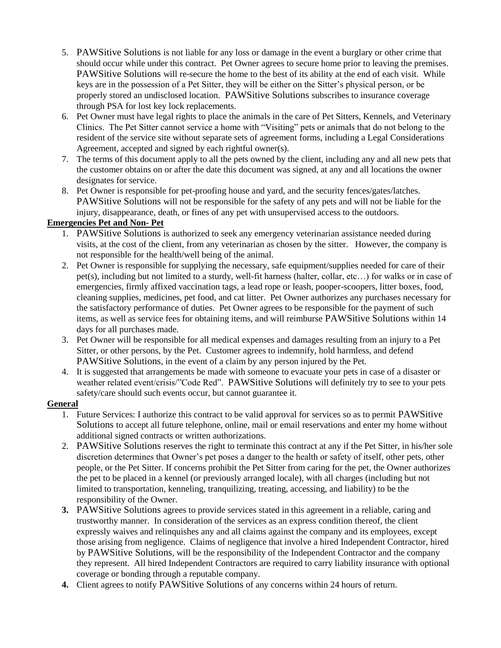- 5. PAWSitive Solutions is not liable for any loss or damage in the event a burglary or other crime that should occur while under this contract. Pet Owner agrees to secure home prior to leaving the premises. PAWSitive Solutions will re-secure the home to the best of its ability at the end of each visit. While keys are in the possession of a Pet Sitter, they will be either on the Sitter's physical person, or be properly stored an undisclosed location. PAWSitive Solutions subscribes to insurance coverage through PSA for lost key lock replacements.
- 6. Pet Owner must have legal rights to place the animals in the care of Pet Sitters, Kennels, and Veterinary Clinics. The Pet Sitter cannot service a home with "Visiting" pets or animals that do not belong to the resident of the service site without separate sets of agreement forms, including a Legal Considerations Agreement, accepted and signed by each rightful owner(s).
- 7. The terms of this document apply to all the pets owned by the client, including any and all new pets that the customer obtains on or after the date this document was signed, at any and all locations the owner designates for service.
- 8. Pet Owner is responsible for pet-proofing house and yard, and the security fences/gates/latches. PAWSitive Solutions will not be responsible for the safety of any pets and will not be liable for the injury, disappearance, death, or fines of any pet with unsupervised access to the outdoors.

# **Emergencies Pet and Non- Pet**

- 1. PAWSitive Solutions is authorized to seek any emergency veterinarian assistance needed during visits, at the cost of the client, from any veterinarian as chosen by the sitter. However, the company is not responsible for the health/well being of the animal.
- 2. Pet Owner is responsible for supplying the necessary, safe equipment/supplies needed for care of their pet(s), including but not limited to a sturdy, well-fit harness (halter, collar, etc…) for walks or in case of emergencies, firmly affixed vaccination tags, a lead rope or leash, pooper-scoopers, litter boxes, food, cleaning supplies, medicines, pet food, and cat litter. Pet Owner authorizes any purchases necessary for the satisfactory performance of duties. Pet Owner agrees to be responsible for the payment of such items, as well as service fees for obtaining items, and will reimburse PAWSitive Solutions within 14 days for all purchases made.
- 3. Pet Owner will be responsible for all medical expenses and damages resulting from an injury to a Pet Sitter, or other persons, by the Pet. Customer agrees to indemnify, hold harmless, and defend PAWSitive Solutions, in the event of a claim by any person injured by the Pet.
- 4. It is suggested that arrangements be made with someone to evacuate your pets in case of a disaster or weather related event/crisis/"Code Red". PAWSitive Solutions will definitely try to see to your pets safety/care should such events occur, but cannot guarantee it.

# **General**

- 1. Future Services: I authorize this contract to be valid approval for services so as to permit PAWSitive Solutions to accept all future telephone, online, mail or email reservations and enter my home without additional signed contracts or written authorizations.
- 2. PAWSitive Solutions reserves the right to terminate this contract at any if the Pet Sitter, in his/her sole discretion determines that Owner's pet poses a danger to the health or safety of itself, other pets, other people, or the Pet Sitter. If concerns prohibit the Pet Sitter from caring for the pet, the Owner authorizes the pet to be placed in a kennel (or previously arranged locale), with all charges (including but not limited to transportation, kenneling, tranquilizing, treating, accessing, and liability) to be the responsibility of the Owner.
- **3.** PAWSitive Solutions agrees to provide services stated in this agreement in a reliable, caring and trustworthy manner. In consideration of the services as an express condition thereof, the client expressly waives and relinquishes any and all claims against the company and its employees, except those arising from negligence. Claims of negligence that involve a hired Independent Contractor, hired by PAWSitive Solutions, will be the responsibility of the Independent Contractor and the company they represent. All hired Independent Contractors are required to carry liability insurance with optional coverage or bonding through a reputable company.
- **4.** Client agrees to notify PAWSitive Solutions of any concerns within 24 hours of return.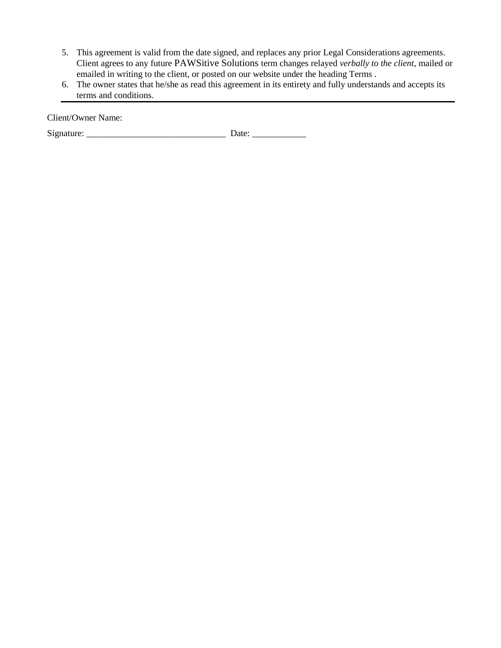- 5. This agreement is valid from the date signed, and replaces any prior Legal Considerations agreements. Client agrees to any future PAWSitive Solutions term changes relayed *verbally to the client*, mailed or emailed in writing to the client, or posted on our website under the heading Terms .
- 6. The owner states that he/she as read this agreement in its entirety and fully understands and accepts its terms and conditions.

Client/Owner Name:

Signature: \_\_\_\_\_\_\_\_\_\_\_\_\_\_\_\_\_\_\_\_\_\_\_\_\_\_\_\_\_\_\_ Date: \_\_\_\_\_\_\_\_\_\_\_\_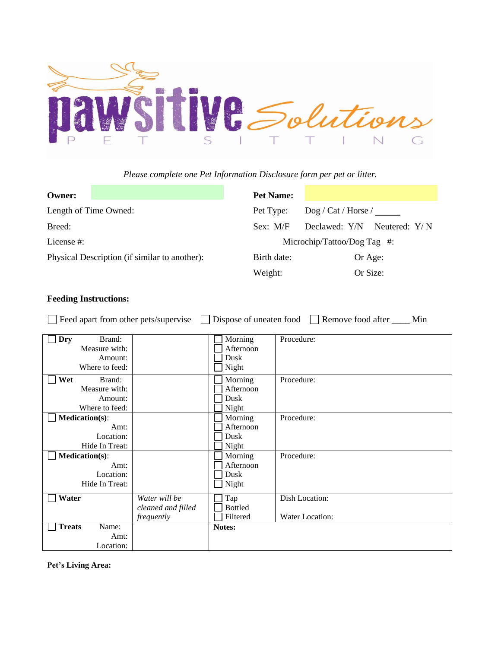

*Please complete one Pet Information Disclosure form per pet or litter.*

| Owner:                                        | <b>Pet Name:</b>                        |  |
|-----------------------------------------------|-----------------------------------------|--|
| Length of Time Owned:                         | $\log$ / Cat / Horse /<br>Pet Type:     |  |
| Breed:                                        | Declawed: Y/N Neutered: Y/N<br>Sex: M/F |  |
| License #:                                    | Microchip/Tattoo/Dog Tag $\#$ :         |  |
| Physical Description (if similar to another): | Birth date:<br>Or Age:                  |  |
|                                               | Weight:<br>Or Size:                     |  |

# **Feeding Instructions:**

Feed apart from other pets/supervise Dispose of uneaten food Remove food after <u>Samundae</u> Min

| <b>Dry</b><br>Brand:<br>Measure with:                        |                                                   | Morning<br>Afternoon                  | Procedure:                        |
|--------------------------------------------------------------|---------------------------------------------------|---------------------------------------|-----------------------------------|
| Amount:<br>Where to feed:                                    |                                                   | Dusk<br>Night                         |                                   |
| Wet<br>Brand:<br>Measure with:<br>Amount:<br>Where to feed:  |                                                   | Morning<br>Afternoon<br>Dusk<br>Night | Procedure:                        |
| <b>Medication(s):</b><br>Amt:<br>Location:<br>Hide In Treat: |                                                   | Morning<br>Afternoon<br>Dusk<br>Night | Procedure:                        |
| <b>Medication(s):</b><br>Amt:<br>Location:<br>Hide In Treat: |                                                   | Morning<br>Afternoon<br>Dusk<br>Night | Procedure:                        |
| Water                                                        | Water will be<br>cleaned and filled<br>frequently | Tap<br><b>Bottled</b><br>Filtered     | Dish Location:<br>Water Location: |
| <b>Treats</b><br>Name:<br>Amt:<br>Location:                  |                                                   | Notes:                                |                                   |

**Pet's Living Area:**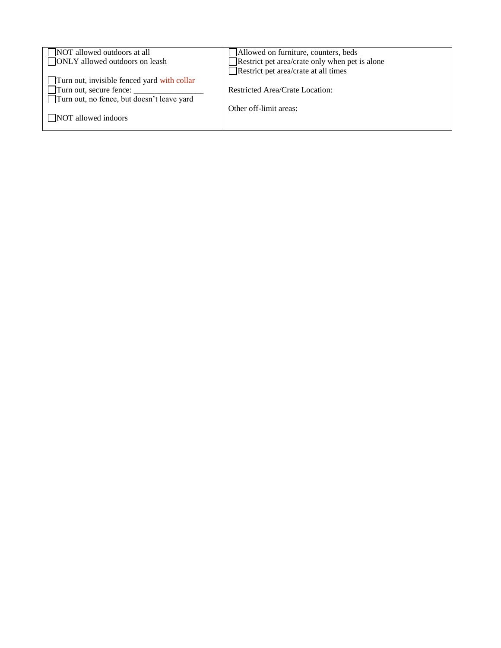| NOT allowed outdoors at all                 | Allowed on furniture, counters, beds                  |
|---------------------------------------------|-------------------------------------------------------|
| <b>ONLY</b> allowed outdoors on leash       | $\Box$ Restrict pet area/crate only when pet is alone |
|                                             | Restrict pet area/crate at all times                  |
| Turn out, invisible fenced yard with collar |                                                       |
| Turn out, secure fence:                     | Restricted Area/Crate Location:                       |
| Turn out, no fence, but doesn't leave yard  |                                                       |
|                                             | Other off-limit areas:                                |
| NOT allowed indoors                         |                                                       |
|                                             |                                                       |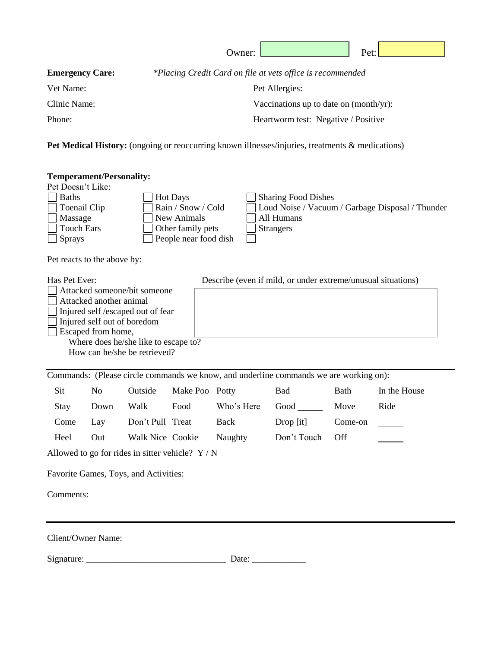|                        | Pet:<br>Owner:                                             |
|------------------------|------------------------------------------------------------|
| <b>Emergency Care:</b> | *Placing Credit Card on file at vets office is recommended |
| Vet Name:              | Pet Allergies:                                             |
| Clinic Name:           | Vaccinations up to date on $(month/yr)$ :                  |
| Phone:                 | Heartworm test: Negative / Positive                        |

Pet Medical History: (ongoing or reoccurring known illnesses/injuries, treatments & medications)

| <b>Temperament/Personality:</b> |                                                                                        |                                                  |                       |            |                                                                                       |         |              |  |  |
|---------------------------------|----------------------------------------------------------------------------------------|--------------------------------------------------|-----------------------|------------|---------------------------------------------------------------------------------------|---------|--------------|--|--|
|                                 | Pet Doesn't Like:                                                                      |                                                  |                       |            |                                                                                       |         |              |  |  |
| <b>Baths</b>                    | <b>Hot Days</b><br><b>Sharing Food Dishes</b>                                          |                                                  |                       |            |                                                                                       |         |              |  |  |
|                                 | Rain / Snow / Cold<br>Toenail Clip<br>Loud Noise / Vacuum / Garbage Disposal / Thunder |                                                  |                       |            |                                                                                       |         |              |  |  |
|                                 | Massage<br>New Animals<br>All Humans                                                   |                                                  |                       |            |                                                                                       |         |              |  |  |
|                                 | <b>Touch Ears</b><br>Other family pets<br><b>Strangers</b>                             |                                                  |                       |            |                                                                                       |         |              |  |  |
| Sprays                          |                                                                                        |                                                  | People near food dish |            |                                                                                       |         |              |  |  |
| Pet reacts to the above by:     |                                                                                        |                                                  |                       |            |                                                                                       |         |              |  |  |
| Has Pet Ever:                   |                                                                                        |                                                  |                       |            | Describe (even if mild, or under extreme/unusual situations)                          |         |              |  |  |
|                                 |                                                                                        | Attacked someone/bit someone                     |                       |            |                                                                                       |         |              |  |  |
|                                 | Attacked another animal                                                                |                                                  |                       |            |                                                                                       |         |              |  |  |
|                                 |                                                                                        | Injured self /escaped out of fear                |                       |            |                                                                                       |         |              |  |  |
|                                 | Injured self out of boredom                                                            |                                                  |                       |            |                                                                                       |         |              |  |  |
|                                 | Escaped from home,                                                                     |                                                  |                       |            |                                                                                       |         |              |  |  |
|                                 |                                                                                        | Where does he/she like to escape to?             |                       |            |                                                                                       |         |              |  |  |
|                                 |                                                                                        | How can he/she be retrieved?                     |                       |            |                                                                                       |         |              |  |  |
|                                 |                                                                                        |                                                  |                       |            | Commands: (Please circle commands we know, and underline commands we are working on): |         |              |  |  |
| Sit                             | N <sub>o</sub>                                                                         | Outside                                          | Make Poo Potty        |            | Bad                                                                                   | Bath    | In the House |  |  |
| Stay                            | Down                                                                                   | Walk                                             | Food                  | Who's Here | $Good$ <sub>________</sub>                                                            | Move    | Ride         |  |  |
| Come                            | Lay                                                                                    | Don't Pull Treat                                 |                       | Back       | Drop [it]                                                                             | Come-on |              |  |  |
| Heel                            | Out                                                                                    | Walk Nice Cookie                                 |                       | Naughty    | Don't Touch                                                                           | Off     |              |  |  |
|                                 |                                                                                        | Allowed to go for rides in sitter vehicle? $Y/N$ |                       |            |                                                                                       |         |              |  |  |
|                                 | Favorite Games, Toys, and Activities:                                                  |                                                  |                       |            |                                                                                       |         |              |  |  |
|                                 | Comments:                                                                              |                                                  |                       |            |                                                                                       |         |              |  |  |
|                                 |                                                                                        |                                                  |                       |            |                                                                                       |         |              |  |  |
|                                 |                                                                                        |                                                  |                       |            |                                                                                       |         |              |  |  |
| Client/Owner Name:              |                                                                                        |                                                  |                       |            |                                                                                       |         |              |  |  |
| Signature:                      |                                                                                        |                                                  |                       | Date:      |                                                                                       |         |              |  |  |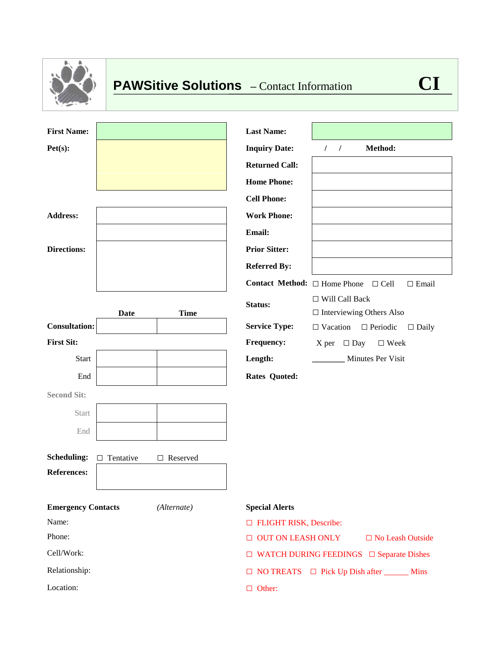|                                          |                  |                 | <b>PAWSitive Solutions</b> - Contact Information |                                                          |
|------------------------------------------|------------------|-----------------|--------------------------------------------------|----------------------------------------------------------|
|                                          |                  |                 |                                                  |                                                          |
| <b>First Name:</b>                       |                  |                 | <b>Last Name:</b>                                |                                                          |
| Pet(s):                                  |                  |                 | <b>Inquiry Date:</b>                             | $1 \quad 1$<br>Method:                                   |
|                                          |                  |                 | <b>Returned Call:</b>                            |                                                          |
|                                          |                  |                 | <b>Home Phone:</b>                               |                                                          |
|                                          |                  |                 | <b>Cell Phone:</b>                               |                                                          |
| <b>Address:</b>                          |                  |                 | <b>Work Phone:</b>                               |                                                          |
|                                          |                  |                 | <b>Email:</b>                                    |                                                          |
| <b>Directions:</b>                       |                  |                 | <b>Prior Sitter:</b>                             |                                                          |
|                                          |                  |                 | <b>Referred By:</b>                              |                                                          |
|                                          |                  |                 |                                                  | Contact Method: □ Home Phone □ Cell<br>$\Box$ Email      |
|                                          | Date             | <b>Time</b>     | Status:                                          | $\Box$ Will Call Back<br>$\Box$ Interviewing Others Also |
| <b>Consultation:</b>                     |                  |                 | <b>Service Type:</b>                             | $\Box$ Vacation<br>$\Box$ Periodic<br>$\Box$ Daily       |
| <b>First Sit:</b>                        |                  |                 | Frequency:                                       | $X per \square Day$<br>$\Box$ Week                       |
| Start                                    |                  |                 | Length:                                          | Minutes Per Visit                                        |
| End                                      |                  |                 | <b>Rates Quoted:</b>                             |                                                          |
| <b>Second Sit:</b>                       |                  |                 |                                                  |                                                          |
| <b>Start</b>                             |                  |                 |                                                  |                                                          |
| End                                      |                  |                 |                                                  |                                                          |
| <b>Scheduling:</b><br><b>References:</b> | $\Box$ Tentative | $\Box$ Reserved |                                                  |                                                          |
| <b>Emergency Contacts</b>                |                  | (Alternate)     | <b>Special Alerts</b>                            |                                                          |
| Name:                                    |                  |                 | □ FLIGHT RISK, Describe:                         |                                                          |
| Phone:                                   |                  |                 | <b>OUT ON LEASH ONLY</b>                         | □ No Leash Outside                                       |
| Cell/Work:                               |                  |                 |                                                  | $\Box$ WATCH DURING FEEDINGS $\Box$ Separate Dishes      |
| Relationship:                            |                  |                 |                                                  | $\Box$ NO TREATS $\Box$ Pick Up Dish after ________ Mins |
| Location:                                |                  |                 | $\Box$ Other:                                    |                                                          |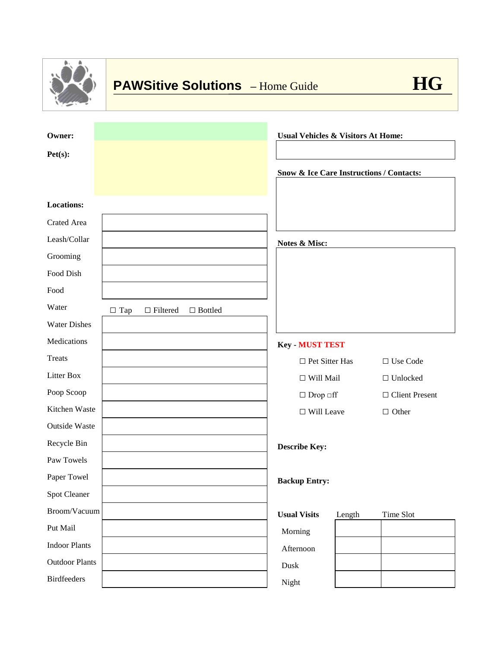|                       | <b>PAWSitive Solutions</b> - Home Guide         |                                               |        | <b>HG</b>             |
|-----------------------|-------------------------------------------------|-----------------------------------------------|--------|-----------------------|
| Owner:                |                                                 | <b>Usual Vehicles &amp; Visitors At Home:</b> |        |                       |
| Pet(s):               |                                                 |                                               |        |                       |
|                       |                                                 | Snow & Ice Care Instructions / Contacts:      |        |                       |
| <b>Locations:</b>     |                                                 |                                               |        |                       |
| <b>Crated Area</b>    |                                                 |                                               |        |                       |
| Leash/Collar          |                                                 | Notes & Misc:                                 |        |                       |
| Grooming              |                                                 |                                               |        |                       |
| Food Dish             |                                                 |                                               |        |                       |
| Food                  |                                                 |                                               |        |                       |
| Water                 | $\Box$ Tap<br>$\Box$ Filtered<br>$\Box$ Bottled |                                               |        |                       |
| <b>Water Dishes</b>   |                                                 |                                               |        |                       |
| Medications           |                                                 | <b>Key - MUST TEST</b>                        |        |                       |
| <b>Treats</b>         |                                                 | $\Box$ Pet Sitter Has                         |        | □ Use Code            |
| Litter Box            |                                                 | $\Box$ Will Mail                              |        | $\Box$ Unlocked       |
| Poop Scoop            |                                                 | $\Box$ Drop $\Box$                            |        | $\Box$ Client Present |
| Kitchen Waste         |                                                 | $\Box$ Will Leave                             |        | $\Box$ Other          |
| Outside Waste         |                                                 |                                               |        |                       |
| Recycle Bin           |                                                 | <b>Describe Key:</b>                          |        |                       |
| Paw Towels            |                                                 |                                               |        |                       |
| Paper Towel           |                                                 | <b>Backup Entry:</b>                          |        |                       |
| Spot Cleaner          |                                                 |                                               |        |                       |
| Broom/Vacuum          |                                                 | <b>Usual Visits</b>                           | Length | Time Slot             |
| Put Mail              |                                                 | Morning                                       |        |                       |
| <b>Indoor Plants</b>  |                                                 | Afternoon                                     |        |                       |
| <b>Outdoor Plants</b> |                                                 | Dusk                                          |        |                       |
| <b>Birdfeeders</b>    |                                                 | Night                                         |        |                       |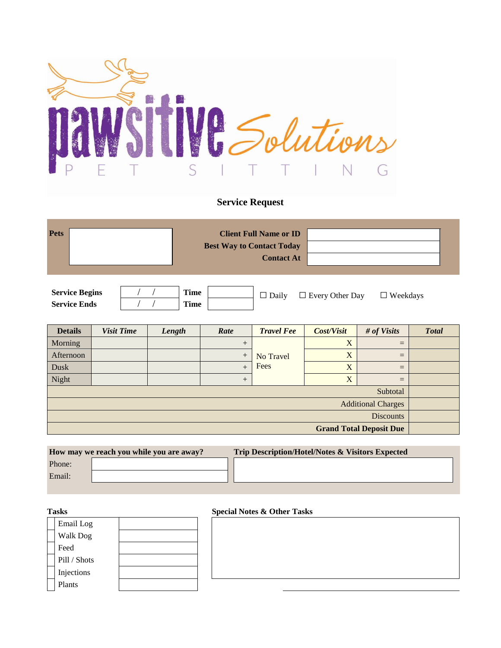

# **Service Request**

| <b>Pets</b> | <b>Client Full Name or ID</b>    |  |
|-------------|----------------------------------|--|
|             | <b>Best Way to Contact Today</b> |  |
|             | <b>Contact At</b>                |  |

| <b>Service Begins</b> | <b>Time</b> | $\Box$ Daily | $\Box$ Every Other Day | $\neg$ Weekdays |
|-----------------------|-------------|--------------|------------------------|-----------------|
| <b>Service Ends</b>   | <b>Time</b> |              |                        |                 |

| <b>Details</b>                 | <b>Visit Time</b>         | Length | Rate   | <b>Travel Fee</b> | Cost/Visit | # of Visits | <b>Total</b> |  |  |
|--------------------------------|---------------------------|--------|--------|-------------------|------------|-------------|--------------|--|--|
| Morning                        |                           |        | $^{+}$ |                   | X          | $=$         |              |  |  |
| Afternoon                      |                           |        | $^{+}$ | No Travel<br>Fees | X          | $=$         |              |  |  |
| Dusk                           |                           |        | $+$    |                   | X          | $=$         |              |  |  |
| Night                          |                           |        | $^{+}$ |                   | X          | $\equiv$    |              |  |  |
| Subtotal                       |                           |        |        |                   |            |             |              |  |  |
|                                | <b>Additional Charges</b> |        |        |                   |            |             |              |  |  |
| <b>Discounts</b>               |                           |        |        |                   |            |             |              |  |  |
| <b>Grand Total Deposit Due</b> |                           |        |        |                   |            |             |              |  |  |

|        | How may we reach you while you are away? | <b>Trip Description/Hotel/Notes &amp; Visitors Expected</b> |
|--------|------------------------------------------|-------------------------------------------------------------|
| Phone: |                                          |                                                             |
| Email: |                                          |                                                             |
|        |                                          |                                                             |

# Email Log Walk Dog Feed Pill / Shots Injections Plants

### **Tasks Special Notes & Other Tasks**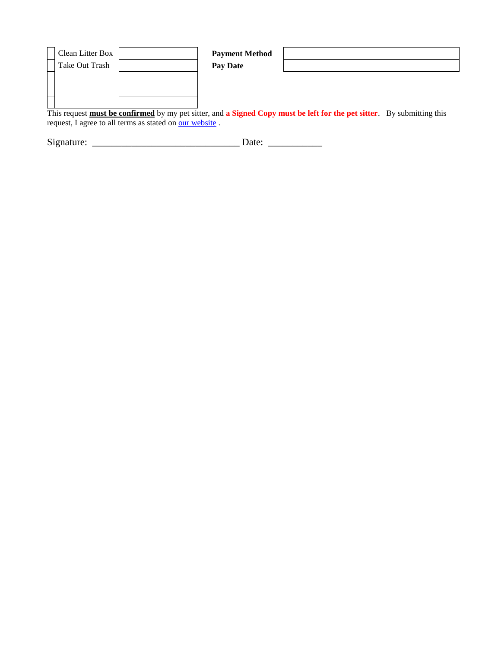| Clean Litter Box | <b>Payment Method</b> |                                                                                                                        |  |
|------------------|-----------------------|------------------------------------------------------------------------------------------------------------------------|--|
| Take Out Trash   | Pay Date              |                                                                                                                        |  |
|                  |                       |                                                                                                                        |  |
|                  |                       |                                                                                                                        |  |
|                  |                       |                                                                                                                        |  |
|                  |                       | This security must be confirmed by my set sites, and a Chanal Cause must be left for the untilliar. Decemberation this |  |

This request **must be confirmed** by my pet sitter, and **a Signed Copy must be left for the pet sitter**. By submitting this request, I agree to all terms as stated on [our website](http://www.yourpetsitsitters/legalese.htm).

Signature: \_\_\_\_\_\_\_\_\_\_\_\_\_\_\_\_\_\_\_\_\_\_\_\_\_\_\_\_\_\_ Date: \_\_\_\_\_\_\_\_\_\_\_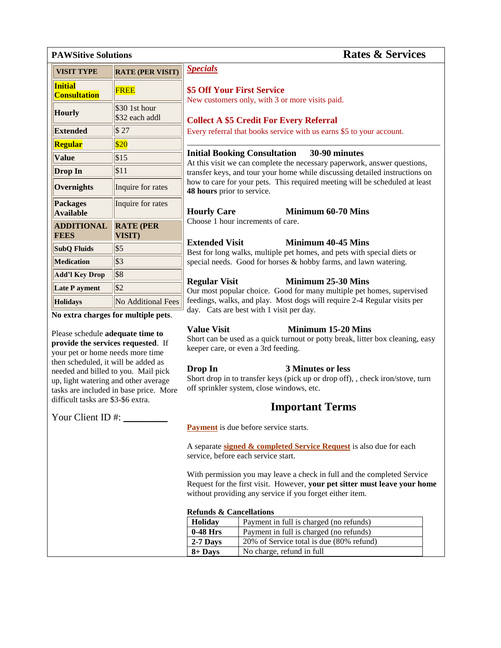| <b>PAWSitive Solutions</b>                                                                                                                                                                                                                                                                                                           |                                     | <b>Rates &amp; Services</b>                                                                                                                                                                                       |  |  |
|--------------------------------------------------------------------------------------------------------------------------------------------------------------------------------------------------------------------------------------------------------------------------------------------------------------------------------------|-------------------------------------|-------------------------------------------------------------------------------------------------------------------------------------------------------------------------------------------------------------------|--|--|
| <b>VISIT TYPE</b>                                                                                                                                                                                                                                                                                                                    | <b>RATE (PER VISIT)</b>             | <b>Specials</b>                                                                                                                                                                                                   |  |  |
| <b>Initial</b><br><b>Consultation</b>                                                                                                                                                                                                                                                                                                | <b>FREE</b>                         | \$5 Off Your First Service<br>New customers only, with 3 or more visits paid.                                                                                                                                     |  |  |
| <b>Hourly</b>                                                                                                                                                                                                                                                                                                                        | $$30$ 1st hour<br>\$32 each addl    | <b>Collect A \$5 Credit For Every Referral</b>                                                                                                                                                                    |  |  |
| <b>Extended</b>                                                                                                                                                                                                                                                                                                                      | \$27                                | Every referral that books service with us earns \$5 to your account.                                                                                                                                              |  |  |
| Regular                                                                                                                                                                                                                                                                                                                              | \$20                                |                                                                                                                                                                                                                   |  |  |
| <b>Value</b>                                                                                                                                                                                                                                                                                                                         | \$15                                | <b>Initial Booking Consultation</b><br>30-90 minutes<br>At this visit we can complete the necessary paperwork, answer questions,                                                                                  |  |  |
| Drop In                                                                                                                                                                                                                                                                                                                              | \$11                                | transfer keys, and tour your home while discussing detailed instructions on<br>how to care for your pets. This required meeting will be scheduled at least<br>48 hours prior to service.                          |  |  |
| Overnights                                                                                                                                                                                                                                                                                                                           | Inquire for rates                   |                                                                                                                                                                                                                   |  |  |
| <b>Packages</b><br><b>Available</b>                                                                                                                                                                                                                                                                                                  | Inquire for rates                   | <b>Minimum 60-70 Mins</b><br><b>Hourly Care</b><br>Choose 1 hour increments of care.                                                                                                                              |  |  |
| <b>ADDITIONAL</b><br><b>FEES</b>                                                                                                                                                                                                                                                                                                     | <b>RATE (PER</b><br>VISIT)          |                                                                                                                                                                                                                   |  |  |
| <b>SubQ Fluids</b>                                                                                                                                                                                                                                                                                                                   | $\frac{1}{5}$                       | <b>Extended Visit</b><br><b>Minimum 40-45 Mins</b>                                                                                                                                                                |  |  |
| <b>Medication</b>                                                                                                                                                                                                                                                                                                                    | $\frac{1}{3}$                       | Best for long walks, multiple pet homes, and pets with special diets or<br>special needs. Good for horses & hobby farms, and lawn watering.                                                                       |  |  |
| <b>Add'l Key Drop</b>                                                                                                                                                                                                                                                                                                                | \$8                                 |                                                                                                                                                                                                                   |  |  |
| <b>Late P</b> ayment                                                                                                                                                                                                                                                                                                                 | $\vert$ \$2                         | Minimum 25-30 Mins<br><b>Regular Visit</b><br>Our most popular choice. Good for many multiple pet homes, supervised                                                                                               |  |  |
| <b>Holidays</b>                                                                                                                                                                                                                                                                                                                      | No Additional Fees                  | feedings, walks, and play. Most dogs will require 2-4 Regular visits per                                                                                                                                          |  |  |
|                                                                                                                                                                                                                                                                                                                                      | No extra charges for multiple pets. | day. Cats are best with 1 visit per day.                                                                                                                                                                          |  |  |
| Please schedule adequate time to<br>provide the services requested. If<br>your pet or home needs more time<br>then scheduled, it will be added as<br>needed and billed to you. Mail pick<br>up, light watering and other average<br>tasks are included in base price. More<br>difficult tasks are \$3-\$6 extra.<br>Your Client ID#: |                                     | <b>Value Visit</b><br>Minimum 15-20 Mins<br>Short can be used as a quick turnout or potty break, litter box cleaning, easy<br>keeper care, or even a 3rd feeding.                                                 |  |  |
|                                                                                                                                                                                                                                                                                                                                      |                                     | Drop In<br><b>3 Minutes or less</b><br>Short drop in to transfer keys (pick up or drop off), , check iron/stove, turn<br>off sprinkler system, close windows, etc.                                                |  |  |
|                                                                                                                                                                                                                                                                                                                                      |                                     | <b>Important Terms</b>                                                                                                                                                                                            |  |  |
|                                                                                                                                                                                                                                                                                                                                      |                                     | <b>Payment</b> is due before service starts.                                                                                                                                                                      |  |  |
|                                                                                                                                                                                                                                                                                                                                      |                                     | A separate signed & completed Service Request is also due for each<br>service, before each service start.                                                                                                         |  |  |
|                                                                                                                                                                                                                                                                                                                                      |                                     | With permission you may leave a check in full and the completed Service<br>Request for the first visit. However, your pet sitter must leave your home<br>without providing any service if you forget either item. |  |  |
|                                                                                                                                                                                                                                                                                                                                      |                                     | <b>Refunds &amp; Cancellations</b>                                                                                                                                                                                |  |  |
|                                                                                                                                                                                                                                                                                                                                      |                                     | Payment in full is charged (no refunds)<br><b>Holiday</b>                                                                                                                                                         |  |  |
|                                                                                                                                                                                                                                                                                                                                      |                                     | Payment in full is charged (no refunds)<br>$0-48$ Hrs                                                                                                                                                             |  |  |
|                                                                                                                                                                                                                                                                                                                                      |                                     | 20% of Service total is due (80% refund)<br>2-7 Days<br>No charge, refund in full<br>8+ Days                                                                                                                      |  |  |
|                                                                                                                                                                                                                                                                                                                                      |                                     |                                                                                                                                                                                                                   |  |  |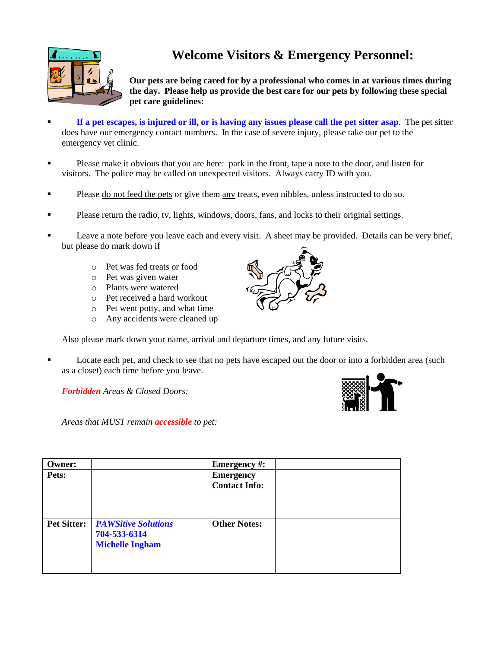

# **Welcome Visitors & Emergency Personnel:**

**Our pets are being cared for by a professional who comes in at various times during the day. Please help us provide the best care for our pets by following these special pet care guidelines:**

- **If a pet escapes, is injured or ill, or is having any issues please call the pet sitter asap**. The pet sitter does have our emergency contact numbers. In the case of severe injury, please take our pet to the emergency vet clinic.
- Please make it obvious that you are here: park in the front, tape a note to the door, and listen for visitors. The police may be called on unexpected visitors. Always carry ID with you.
- Please do not feed the pets or give them any treats, even nibbles, unless instructed to do so.
- Please return the radio, tv, lights, windows, doors, fans, and locks to their original settings.
- Leave a note before you leave each and every visit. A sheet may be provided. Details can be very brief, but please do mark down if
	- o Pet was fed treats or food
	- o Pet was given water
	- o Plants were watered
	- o Pet received a hard workout
	- o Pet went potty, and what time
	- o Any accidents were cleaned up

Also please mark down your name, arrival and departure times, and any future visits.

 Locate each pet, and check to see that no pets have escaped out the door or into a forbidden area (such as a closet) each time before you leave.

*Forbidden Areas & Closed Doors:*

*Areas that MUST remain accessible to pet:*



| Owner:             |                                                                      | <b>Emergency</b> #:                      |  |
|--------------------|----------------------------------------------------------------------|------------------------------------------|--|
| Pets:              |                                                                      | <b>Emergency</b><br><b>Contact Info:</b> |  |
| <b>Pet Sitter:</b> | <b>PAWSitive Solutions</b><br>704-533-6314<br><b>Michelle Ingham</b> | <b>Other Notes:</b>                      |  |